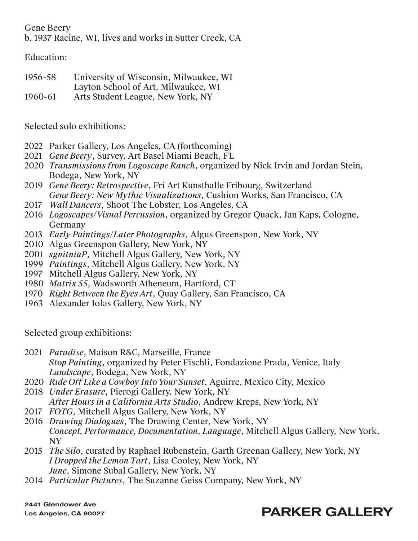Gene Beery

b. 1937 Racine, WI, lives and works in Sutter Creek, CA

Education:

1956-58 University of Wisconsin, Milwaukee, WI Layton School of Art, Milwaukee, WI 1960-61 Arts Student League, New York, NY

Selected solo exhibitions:

- 2022 Parker Gallery, Los Angeles, CA (forthcoming)
- 2021 *Gene Beery*, Survey, Art Basel Miami Beach, FL
- 2020 *Transmissions from Logoscape Ranch*, organized by Nick Irvin and Jordan Stein*,*  Bodega, New York, NY
- 2019 *Gene Beery: Retrospective*, Fri Art Kunsthalle Fribourg, Switzerland *Gene Beery: New Mythic Visualizations*, Cushion Works, San Francisco, CA
- 2017 *Wall Dancers*, Shoot The Lobster, Los Angeles, CA
- 2016 *Logoscapes*/*Visual Percussion*, organized by Gregor Quack, Jan Kaps, Cologne, Germany
- 2013 *Early Paintings*/*Later Photographs*, Algus Greenspon, New York, NY
- 2010 Algus Greenspon Gallery, New York, NY
- 2001 *sgnitniaP*, Mitchell Algus Gallery, New York, NY
- 1999 *Paintings*, Mitchell Algus Gallery, New York, NY
- 1997 Mitchell Algus Gallery, New York, NY
- 1980 *Matrix 55*, Wadsworth Atheneum, Hartford, CT
- 1970 *Right Between the Eyes Art*, Quay Gallery, San Francisco, CA
- 1963 Alexander Iolas Gallery, New York, NY

Selected group exhibitions:

- 2021 *Paradise*, Maison R&C, Marseille, France *Stop Painting*, organized by Peter Fischli, Fondazione Prada, Venice, Italy *Landscape*, Bodega, New York, NY
- 2020 *Ride Off Like a Cowboy Into Your Sunset*, Aguirre, Mexico City, Mexico
- 2018 *Under Erasure*, Pierogi Gallery, New York, NY *After Hours in a California Arts Studio*, Andrew Kreps, New York, NY
- 2017 *FOTG*, Mitchell Algus Gallery, New York, NY
- 2016 *Drawing Dialogues*, The Drawing Center, New York, NY *Concept, Performance, Documentation, Language*, Mitchell Algus Gallery, New York, NY
- 2015 *The Silo*, curated by Raphael Rubenstein, Garth Greenan Gallery, New York, NY *I Dropped the Lemon Tart*, Lisa Cooley, New York, NY *June*, Simone Subal Gallery, New York, NY
- 2014 *Particular Pictures*, The Suzanne Geiss Company, New York, NY

2441 Glendower Ave Los Angeles, CA 90027

## PARKER GALLERY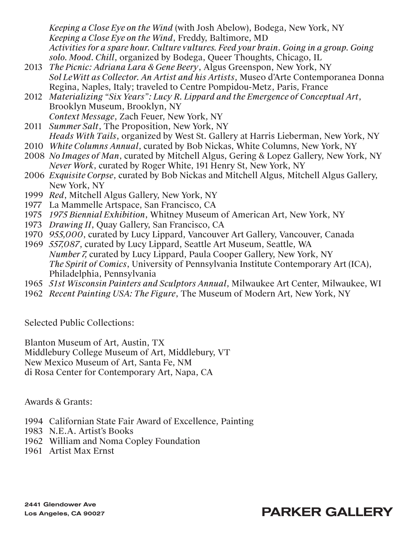*Keeping a Close Eye on the Wind* (with Josh Abelow), Bodega, New York, NY *Keeping a Close Eye on the Wind*, Freddy, Baltimore, MD *Activities for a spare hour. Culture vultures. Feed your brain. Going in a group. Going solo. Mood. Chill*, organized by Bodega, Queer Thoughts, Chicago, IL

- 2013 *The Picnic: Adriana Lara & Gene Beery*, Algus Greenspon, New York, NY *Sol LeWitt as Collector. An Artist and his Artists*, Museo d'Arte Contemporanea Donna Regina, Naples, Italy; traveled to Centre Pompidou-Metz, Paris, France
- 2012 *Materializing "Six Years": Lucy R. Lippard and the Emergence of Conceptual Art*, Brooklyn Museum, Brooklyn, NY *Context Message*, Zach Feuer, New York, NY
- 2011 *Summer Salt*, The Proposition, New York, NY *Heads With Tails*, organized by West St. Gallery at Harris Lieberman, New York, NY
- 2010 *White Columns Annual*, curated by Bob Nickas, White Columns, New York, NY
- 2008 *No Images of Man*, curated by Mitchell Algus, Gering & Lopez Gallery, New York, NY *Never Work*, curated by Roger White, 191 Henry St, New York, NY
- 2006 *Exquisite Corpse*, curated by Bob Nickas and Mitchell Algus, Mitchell Algus Gallery, New York, NY
- 1999 *Red*, Mitchell Algus Gallery, New York, NY
- 1977 La Mammelle Artspace, San Francisco, CA
- 1975 *1975 Biennial Exhibition*, Whitney Museum of American Art, New York, NY
- 1973 *Drawing II*, Quay Gallery, San Francisco, CA
- 1970 *955,000*, curated by Lucy Lippard, Vancouver Art Gallery, Vancouver, Canada
- 1969 *557,087*, curated by Lucy Lippard, Seattle Art Museum, Seattle, WA *Number 7,* curated by Lucy Lippard, Paula Cooper Gallery, New York, NY *The Spirit of Comics*, University of Pennsylvania Institute Contemporary Art (ICA), Philadelphia, Pennsylvania
- 1965 *51st Wisconsin Painters and Sculptors Annual*, Milwaukee Art Center, Milwaukee, WI
- 1962 *Recent Painting USA: The Figure*, The Museum of Modern Art, New York, NY

Selected Public Collections:

Blanton Museum of Art, Austin, TX Middlebury College Museum of Art, Middlebury, VT New Mexico Museum of Art, Santa Fe, NM di Rosa Center for Contemporary Art, Napa, CA

Awards & Grants:

- 1994 Californian State Fair Award of Excellence, Painting
- 1983 N.E.A. Artist's Books
- 1962 William and Noma Copley Foundation
- 1961 Artist Max Ernst

## PARKER GALLERY